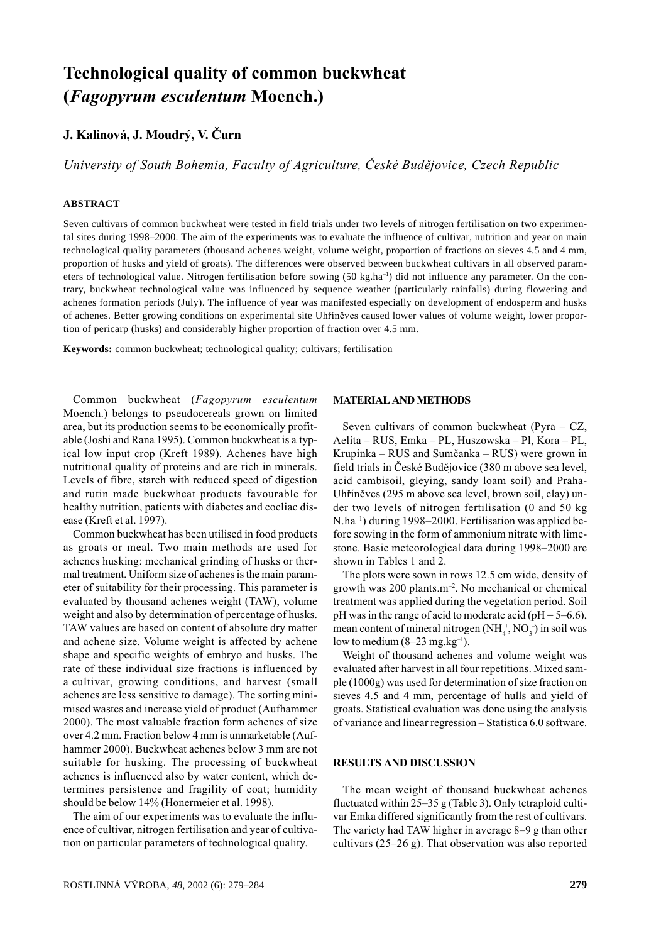# **Technological quality of common buckwheat** (Fagopyrum esculentum Moench.)

# J. Kalinová, J. Moudrý, V. Čurn

University of South Bohemia, Faculty of Agriculture, České Budějovice, Czech Republic

#### **ABSTRACT**

Seven cultivars of common buckwheat were tested in field trials under two levels of nitrogen fertilisation on two experimental sites during 1998-2000. The aim of the experiments was to evaluate the influence of cultivar, nutrition and year on main technological quality parameters (thousand achenes weight, volume weight, proportion of fractions on sieves 4.5 and 4 mm, proportion of husks and yield of groats). The differences were observed between buckwheat cultivars in all observed parameters of technological value. Nitrogen fertilisation before sowing (50 kg.ha<sup>-1</sup>) did not influence any parameter. On the contrary, buckwheat technological value was influenced by sequence weather (particularly rainfalls) during flowering and achenes formation periods (July). The influence of year was manifested especially on development of endosperm and husks of achenes. Better growing conditions on experimental site Uhříněves caused lower values of volume weight, lower proportion of pericarp (husks) and considerably higher proportion of fraction over 4.5 mm.

Keywords: common buckwheat; technological quality; cultivars; fertilisation

Common buckwheat (Fagopyrum esculentum Moench.) belongs to pseudocereals grown on limited area, but its production seems to be economically profitable (Joshi and Rana 1995). Common buckwheat is a typical low input crop (Kreft 1989). Achenes have high nutritional quality of proteins and are rich in minerals. Levels of fibre, starch with reduced speed of digestion and rutin made buckwheat products favourable for healthy nutrition, patients with diabetes and coeliac disease (Kreft et al. 1997).

Common buckwheat has been utilised in food products as groats or meal. Two main methods are used for achenes husking: mechanical grinding of husks or thermal treatment. Uniform size of achenes is the main parameter of suitability for their processing. This parameter is evaluated by thousand achenes weight (TAW), volume weight and also by determination of percentage of husks. TAW values are based on content of absolute dry matter and achene size. Volume weight is affected by achene shape and specific weights of embryo and husks. The rate of these individual size fractions is influenced by a cultivar, growing conditions, and harvest (small achenes are less sensitive to damage). The sorting minimised wastes and increase yield of product (Aufhammer 2000). The most valuable fraction form achenes of size over 4.2 mm. Fraction below 4 mm is unmarketable (Aufhammer 2000). Buckwheat achenes below 3 mm are not suitable for husking. The processing of buckwheat achenes is influenced also by water content, which determines persistence and fragility of coat; humidity should be below 14% (Honermeier et al. 1998).

The aim of our experiments was to evaluate the influence of cultivar, nitrogen fertilisation and year of cultivation on particular parameters of technological quality.

# **MATERIAL AND METHODS**

Seven cultivars of common buckwheat (Pyra  $- CZ$ , Aelita - RUS, Emka - PL, Huszowska - Pl, Kora - PL, Krupinka – RUS and Sumčanka – RUS) were grown in field trials in České Budějovice (380 m above sea level, acid cambisoil, gleying, sandy loam soil) and Praha-Uhříněves (295 m above sea level, brown soil, clay) under two levels of nitrogen fertilisation (0 and 50 kg) N.ha<sup>-1</sup>) during 1998–2000. Fertilisation was applied before sowing in the form of ammonium nitrate with limestone. Basic meteorological data during 1998-2000 are shown in Tables 1 and 2.

The plots were sown in rows 12.5 cm wide, density of growth was 200 plants.m<sup>-2</sup>. No mechanical or chemical treatment was applied during the vegetation period. Soil pH was in the range of acid to moderate acid ( $pH = 5-6.6$ ), mean content of mineral nitrogen  $(NH_4^+, NO_3^-)$  in soil was low to medium  $(8-23$  mg.kg<sup>-1</sup>).

Weight of thousand achenes and volume weight was evaluated after harvest in all four repetitions. Mixed sample (1000g) was used for determination of size fraction on sieves 4.5 and 4 mm, percentage of hulls and yield of groats. Statistical evaluation was done using the analysis of variance and linear regression - Statistica 6.0 software.

#### **RESULTS AND DISCUSSION**

The mean weight of thousand buckwheat achenes fluctuated within  $25-35$  g (Table 3). Only tetraploid cultivar Emka differed significantly from the rest of cultivars. The variety had TAW higher in average  $8-9$  g than other cultivars  $(25-26 \text{ g})$ . That observation was also reported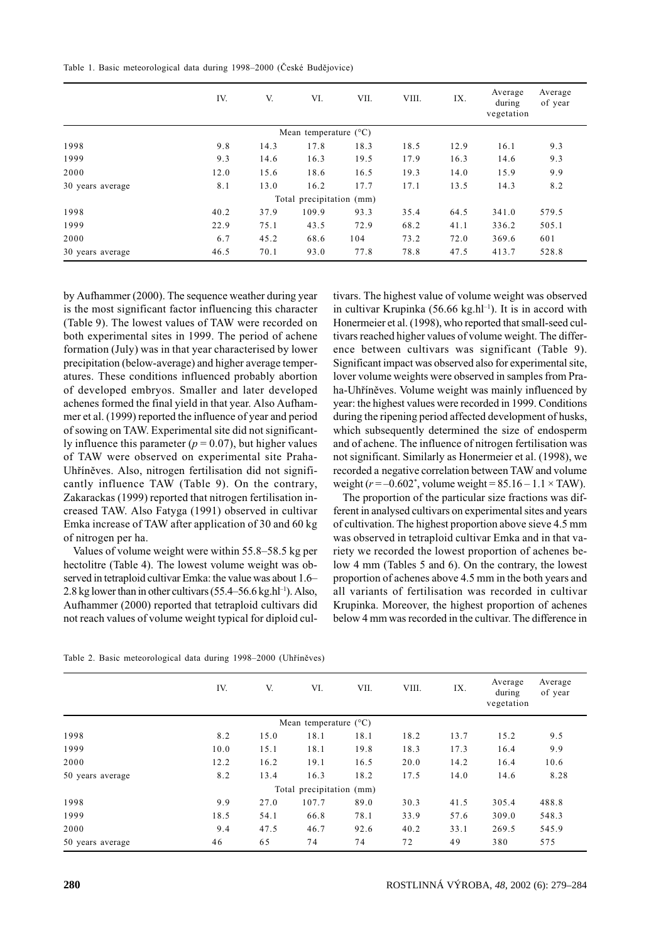Table 1. Basic meteorological data during 1998-2000 (České Budějovice)

|                  | IV.  | V.   | VI.                            | VII. | VIII. | IX.  | Average<br>during<br>vegetation | Average<br>of year |
|------------------|------|------|--------------------------------|------|-------|------|---------------------------------|--------------------|
|                  |      |      | Mean temperature $(^{\circ}C)$ |      |       |      |                                 |                    |
| 1998             | 9.8  | 14.3 | 17.8                           | 18.3 | 18.5  | 12.9 | 16.1                            | 9.3                |
| 1999             | 9.3  | 14.6 | 16.3                           | 19.5 | 17.9  | 16.3 | 14.6                            | 9.3                |
| 2000             | 12.0 | 15.6 | 18.6                           | 16.5 | 19.3  | 14.0 | 15.9                            | 9.9                |
| 30 years average | 8.1  | 13.0 | 16.2                           | 17.7 | 17.1  | 13.5 | 14.3                            | 8.2                |
|                  |      |      | Total precipitation (mm)       |      |       |      |                                 |                    |
| 1998             | 40.2 | 37.9 | 109.9                          | 93.3 | 35.4  | 64.5 | 341.0                           | 579.5              |
| 1999             | 22.9 | 75.1 | 43.5                           | 72.9 | 68.2  | 41.1 | 336.2                           | 505.1              |
| 2000             | 6.7  | 45.2 | 68.6                           | 104  | 73.2  | 72.0 | 369.6                           | 601                |
| 30 years average | 46.5 | 70.1 | 93.0                           | 77.8 | 78.8  | 47.5 | 413.7                           | 528.8              |

by Aufhammer (2000). The sequence weather during year is the most significant factor influencing this character (Table 9). The lowest values of TAW were recorded on both experimental sites in 1999. The period of achene formation (July) was in that year characterised by lower precipitation (below-average) and higher average temperatures. These conditions influenced probably abortion of developed embryos. Smaller and later developed achenes formed the final yield in that year. Also Aufhammer et al. (1999) reported the influence of year and period of sowing on TAW. Experimental site did not significantly influence this parameter ( $p = 0.07$ ), but higher values of TAW were observed on experimental site Praha-Uhříněves. Also, nitrogen fertilisation did not significantly influence TAW (Table 9). On the contrary, Zakarackas (1999) reported that nitrogen fertilisation increased TAW. Also Fatyga (1991) observed in cultivar Emka increase of TAW after application of 30 and 60 kg of nitrogen per ha.

Values of volume weight were within 55.8–58.5 kg per hectolitre (Table 4). The lowest volume weight was observed in tetraploid cultivar Emka: the value was about 1.6-2.8 kg lower than in other cultivars (55.4–56.6 kg.hl<sup>-1</sup>). Also, Aufhammer (2000) reported that tetraploid cultivars did not reach values of volume weight typical for diploid cultivars. The highest value of volume weight was observed in cultivar Krupinka (56.66 kg.hl<sup>-1</sup>). It is in accord with Honermeier et al. (1998), who reported that small-seed cultivars reached higher values of volume weight. The difference between cultivars was significant (Table 9). Significant impact was observed also for experimental site, lover volume weights were observed in samples from Praha-Uhříněves. Volume weight was mainly influenced by year: the highest values were recorded in 1999. Conditions during the ripening period affected development of husks, which subsequently determined the size of endosperm and of achene. The influence of nitrogen fertilisation was not significant. Similarly as Honermeier et al. (1998), we recorded a negative correlation between TAW and volume weight  $(r = -0.602^*)$ , volume weight = 85.16 – 1.1 × TAW).

The proportion of the particular size fractions was different in analysed cultivars on experimental sites and years of cultivation. The highest proportion above sieve 4.5 mm was observed in tetraploid cultivar Emka and in that variety we recorded the lowest proportion of achenes below 4 mm (Tables 5 and 6). On the contrary, the lowest proportion of achenes above 4.5 mm in the both years and all variants of fertilisation was recorded in cultivar Krupinka. Moreover, the highest proportion of achenes below 4 mm was recorded in the cultivar. The difference in

|  |  | Table 2. Basic meteorological data during 1998-2000 (Uhříněves) |  |  |  |
|--|--|-----------------------------------------------------------------|--|--|--|
|--|--|-----------------------------------------------------------------|--|--|--|

|                  | IV.  | V.   | VI.                            | VII. | VIII. | IX.  | Average<br>during<br>vegetation | Average<br>of year |
|------------------|------|------|--------------------------------|------|-------|------|---------------------------------|--------------------|
|                  |      |      | Mean temperature $(^{\circ}C)$ |      |       |      |                                 |                    |
| 1998             | 8.2  | 15.0 | 18.1                           | 18.1 | 18.2  | 13.7 | 15.2                            | 9.5                |
| 1999             | 10.0 | 15.1 | 18.1                           | 19.8 | 18.3  | 17.3 | 16.4                            | 9.9                |
| 2000             | 12.2 | 16.2 | 19.1                           | 16.5 | 20.0  | 14.2 | 16.4                            | 10.6               |
| 50 years average | 8.2  | 13.4 | 16.3                           | 18.2 | 17.5  | 14.0 | 14.6                            | 8.28               |
|                  |      |      | Total precipitation (mm)       |      |       |      |                                 |                    |
| 1998             | 9.9  | 27.0 | 107.7                          | 89.0 | 30.3  | 41.5 | 305.4                           | 488.8              |
| 1999             | 18.5 | 54.1 | 66.8                           | 78.1 | 33.9  | 57.6 | 309.0                           | 548.3              |
| 2000             | 9.4  | 47.5 | 46.7                           | 92.6 | 40.2  | 33.1 | 269.5                           | 545.9              |
| 50 years average | 46   | 65   | 74                             | 74   | 72    | 49   | 380                             | 575                |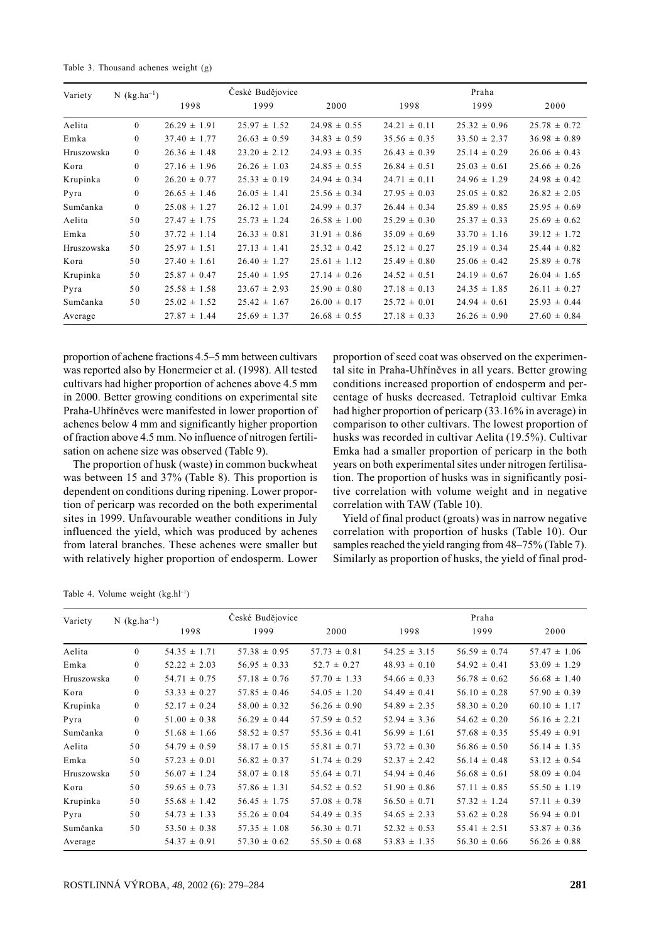Table 3. Thousand achenes weight (g)

| $N$ (kg.ha <sup>-1</sup> )<br>Variety |                |                  | České Budějovice |                  |                  | Praha            |                  |  |  |
|---------------------------------------|----------------|------------------|------------------|------------------|------------------|------------------|------------------|--|--|
|                                       |                | 1998             | 1999             | 2000             | 1998             | 1999             | 2000             |  |  |
| Aelita                                | $\theta$       | $26.29 \pm 1.91$ | $25.97 \pm 1.52$ | $24.98 \pm 0.55$ | $24.21 \pm 0.11$ | $25.32 \pm 0.96$ | $25.78 \pm 0.72$ |  |  |
| Emka                                  | $\mathbf{0}$   | $37.40 \pm 1.77$ | $26.63 \pm 0.59$ | $34.83 \pm 0.59$ | $35.56 \pm 0.35$ | $33.50 \pm 2.37$ | $36.98 \pm 0.89$ |  |  |
| Hruszowska                            | $\overline{0}$ | $26.36 \pm 1.48$ | $23.20 \pm 2.12$ | $24.93 \pm 0.35$ | $26.43 \pm 0.39$ | $25.14 \pm 0.29$ | $26.06 \pm 0.43$ |  |  |
| Kora                                  | $\mathbf{0}$   | $27.16 \pm 1.96$ | $26.26 \pm 1.03$ | $24.85 \pm 0.55$ | $26.84 \pm 0.51$ | $25.03 \pm 0.61$ | $25.66 \pm 0.26$ |  |  |
| Krupinka                              | $\mathbf{0}$   | $26.20 \pm 0.77$ | $25.33 \pm 0.19$ | $24.94 \pm 0.34$ | $24.71 \pm 0.11$ | $24.96 \pm 1.29$ | $24.98 \pm 0.42$ |  |  |
| Pyra                                  | $\mathbf{0}$   | $26.65 \pm 1.46$ | $26.05 \pm 1.41$ | $25.56 \pm 0.34$ | $27.95 \pm 0.03$ | $25.05 \pm 0.82$ | $26.82 \pm 2.05$ |  |  |
| Sumčanka                              | $\theta$       | $25.08 \pm 1.27$ | $26.12 \pm 1.01$ | $24.99 \pm 0.37$ | $26.44 \pm 0.34$ | $25.89 \pm 0.85$ | $25.95 \pm 0.69$ |  |  |
| Aelita                                | 50             | $27.47 \pm 1.75$ | $25.73 \pm 1.24$ | $26.58 \pm 1.00$ | $25.29 \pm 0.30$ | $25.37 \pm 0.33$ | $25.69 \pm 0.62$ |  |  |
| Emka                                  | 50             | $37.72 \pm 1.14$ | $26.33 \pm 0.81$ | $31.91 \pm 0.86$ | $35.09 \pm 0.69$ | $33.70 \pm 1.16$ | $39.12 \pm 1.72$ |  |  |
| Hruszowska                            | 50             | $25.97 \pm 1.51$ | $27.13 \pm 1.41$ | $25.32 \pm 0.42$ | $25.12 \pm 0.27$ | $25.19 \pm 0.34$ | $25.44 \pm 0.82$ |  |  |
| Kora                                  | 50             | $27.40 \pm 1.61$ | $26.40 \pm 1.27$ | $25.61 \pm 1.12$ | $25.49 \pm 0.80$ | $25.06 \pm 0.42$ | $25.89 \pm 0.78$ |  |  |
| Krupinka                              | 50             | $25.87 \pm 0.47$ | $25.40 \pm 1.95$ | $27.14 \pm 0.26$ | $24.52 \pm 0.51$ | $24.19 \pm 0.67$ | $26.04 \pm 1.65$ |  |  |
| Pyra                                  | 50             | $25.58 \pm 1.58$ | $23.67 \pm 2.93$ | $25.90 \pm 0.80$ | $27.18 \pm 0.13$ | $24.35 \pm 1.85$ | $26.11 \pm 0.27$ |  |  |
| Sumčanka                              | 50             | $25.02 \pm 1.52$ | $25.42 \pm 1.67$ | $26.00 \pm 0.17$ | $25.72 \pm 0.01$ | $24.94 \pm 0.61$ | $25.93 \pm 0.44$ |  |  |
| Average                               |                | $27.87 \pm 1.44$ | $25.69 \pm 1.37$ | $26.68 \pm 0.55$ | $27.18 \pm 0.33$ | $26.26 \pm 0.90$ | $27.60 \pm 0.84$ |  |  |

proportion of achene fractions 4.5–5 mm between cultivars was reported also by Honermeier et al. (1998). All tested cultivars had higher proportion of achenes above 4.5 mm in 2000. Better growing conditions on experimental site Praha-Uhříněves were manifested in lower proportion of achenes below 4 mm and significantly higher proportion of fraction above 4.5 mm. No influence of nitrogen fertilisation on achene size was observed (Table 9).

The proportion of husk (waste) in common buckwheat was between 15 and 37% (Table 8). This proportion is dependent on conditions during ripening. Lower proportion of pericarp was recorded on the both experimental sites in 1999. Unfavourable weather conditions in July influenced the yield, which was produced by achenes from lateral branches. These achenes were smaller but with relatively higher proportion of endosperm. Lower proportion of seed coat was observed on the experimental site in Praha-Uhříněves in all years. Better growing conditions increased proportion of endosperm and percentage of husks decreased. Tetraploid cultivar Emka had higher proportion of pericarp (33.16% in average) in comparison to other cultivars. The lowest proportion of husks was recorded in cultivar Aelita (19.5%). Cultivar Emka had a smaller proportion of pericarp in the both years on both experimental sites under nitrogen fertilisation. The proportion of husks was in significantly positive correlation with volume weight and in negative correlation with TAW (Table 10).

Yield of final product (groats) was in narrow negative correlation with proportion of husks (Table 10). Our samples reached the yield ranging from 48-75% (Table 7). Similarly as proportion of husks, the yield of final prod-

Table 4. Volume weight (kg.hl<sup>-1</sup>)

| $N$ (kg.ha <sup>-1</sup> )<br>Variety |              |                  | České Budějovice |                  |                  | Praha            |                  |
|---------------------------------------|--------------|------------------|------------------|------------------|------------------|------------------|------------------|
|                                       |              | 1998             | 1999             | 2000             | 1998             | 1999             | 2000             |
| Aelita                                | $\theta$     | $54.35 \pm 1.71$ | $57.38 \pm 0.95$ | $57.73 \pm 0.81$ | $54.25 \pm 3.15$ | $56.59 \pm 0.74$ | $57.47 \pm 1.06$ |
| Emka                                  | $\mathbf{0}$ | $52.22 \pm 2.03$ | $56.95 \pm 0.33$ | $52.7 \pm 0.27$  | $48.93 \pm 0.10$ | $54.92 \pm 0.41$ | $53.09 \pm 1.29$ |
| Hruszowska                            | $\bf{0}$     | $54.71 \pm 0.75$ | $57.18 \pm 0.76$ | $57.70 \pm 1.33$ | $54.66 \pm 0.33$ | $56.78 \pm 0.62$ | $56.68 \pm 1.40$ |
| Kora                                  | $\mathbf{0}$ | $53.33 \pm 0.27$ | $57.85 \pm 0.46$ | $54.05 \pm 1.20$ | $54.49 \pm 0.41$ | $56.10 \pm 0.28$ | $57.90 \pm 0.39$ |
| Krupinka                              | $\mathbf{0}$ | $52.17 \pm 0.24$ | $58.00 \pm 0.32$ | $56.26 \pm 0.90$ | $54.89 \pm 2.35$ | $58.30 \pm 0.20$ | $60.10 \pm 1.17$ |
| Pyra                                  | $\mathbf{0}$ | $51.00 \pm 0.38$ | $56.29 \pm 0.44$ | $57.59 \pm 0.52$ | $52.94 \pm 3.36$ | $54.62 \pm 0.20$ | $56.16 \pm 2.21$ |
| Sumčanka                              | $\Omega$     | $51.68 \pm 1.66$ | $58.52 \pm 0.57$ | $55.36 \pm 0.41$ | $56.99 \pm 1.61$ | $57.68 \pm 0.35$ | $55.49 \pm 0.91$ |
| Aelita                                | 50           | $54.79 \pm 0.59$ | $58.17 \pm 0.15$ | $55.81 \pm 0.71$ | $53.72 \pm 0.30$ | $56.86 \pm 0.50$ | $56.14 \pm 1.35$ |
| Emka                                  | 50           | $57.23 \pm 0.01$ | $56.82 \pm 0.37$ | $51.74 \pm 0.29$ | $52.37 \pm 2.42$ | $56.14 \pm 0.48$ | $53.12 \pm 0.54$ |
| Hruszowska                            | 50           | $56.07 \pm 1.24$ | $58.07 \pm 0.18$ | $55.64 \pm 0.71$ | $54.94 \pm 0.46$ | $56.68 \pm 0.61$ | $58.09 \pm 0.04$ |
| Kora                                  | 50           | $59.65 \pm 0.73$ | $57.86 \pm 1.31$ | $54.52 \pm 0.52$ | $51.90 \pm 0.86$ | $57.11 \pm 0.85$ | $55.50 \pm 1.19$ |
| Krupinka                              | 50           | $55.68 \pm 1.42$ | $56.45 \pm 1.75$ | $57.08 \pm 0.78$ | $56.50 \pm 0.71$ | $57.32 \pm 1.24$ | $57.11 \pm 0.39$ |
| Pyra                                  | 50           | $54.73 \pm 1.33$ | $55.26 \pm 0.04$ | $54.49 \pm 0.35$ | $54.65 \pm 2.33$ | $53.62 \pm 0.28$ | $56.94 \pm 0.01$ |
| Sumčanka                              | 50           | $53.50 \pm 0.38$ | $57.35 \pm 1.08$ | $56.30 \pm 0.71$ | $52.32 \pm 0.53$ | $55.41 \pm 2.51$ | $53.87 \pm 0.36$ |
| Average                               |              | $54.37 \pm 0.91$ | $57.30 \pm 0.62$ | $55.50 \pm 0.68$ | $53.83 \pm 1.35$ | $56.30 \pm 0.66$ | $56.26 \pm 0.88$ |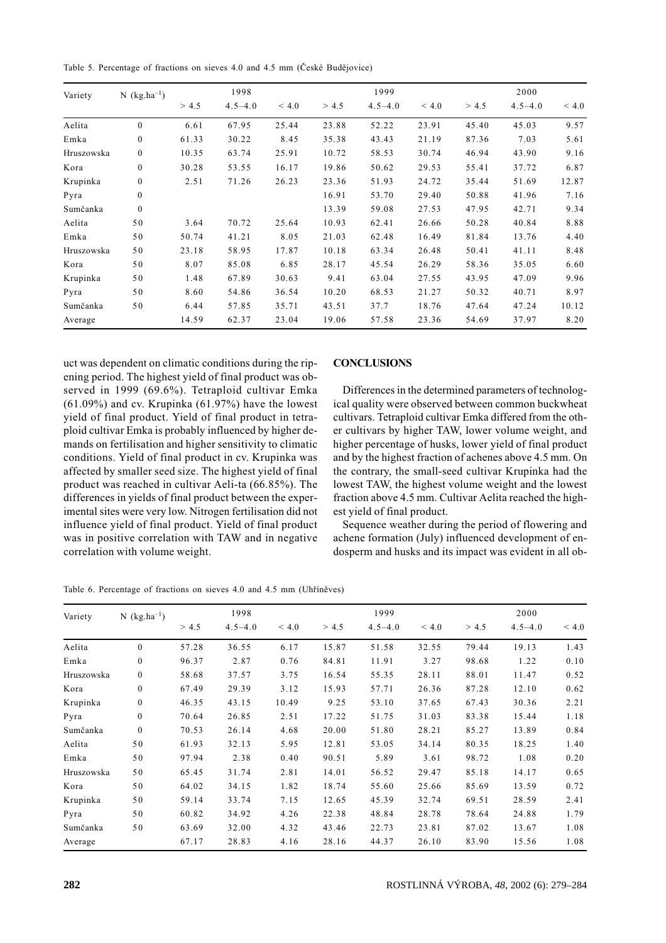Table 5. Percentage of fractions on sieves 4.0 and 4.5 mm (České Budějovice)

| Variety    | $N$ (kg.ha <sup>-1</sup> ) |       | 1998        |       |       | 1999        |       | 2000  |             |       |
|------------|----------------------------|-------|-------------|-------|-------|-------------|-------|-------|-------------|-------|
|            |                            | > 4.5 | $4.5 - 4.0$ | < 4.0 | > 4.5 | $4.5 - 4.0$ | < 4.0 | > 4.5 | $4.5 - 4.0$ | < 4.0 |
| Aelita     | $\mathbf{0}$               | 6.61  | 67.95       | 25.44 | 23.88 | 52.22       | 23.91 | 45.40 | 45.03       | 9.57  |
| Emka       | $\overline{0}$             | 61.33 | 30.22       | 8.45  | 35.38 | 43.43       | 21.19 | 87.36 | 7.03        | 5.61  |
| Hruszowska | $\boldsymbol{0}$           | 10.35 | 63.74       | 25.91 | 10.72 | 58.53       | 30.74 | 46.94 | 43.90       | 9.16  |
| Kora       | $\overline{0}$             | 30.28 | 53.55       | 16.17 | 19.86 | 50.62       | 29.53 | 55.41 | 37.72       | 6.87  |
| Krupinka   | $\overline{0}$             | 2.51  | 71.26       | 26.23 | 23.36 | 51.93       | 24.72 | 35.44 | 51.69       | 12.87 |
| Pyra       | $\overline{0}$             |       |             |       | 16.91 | 53.70       | 29.40 | 50.88 | 41.96       | 7.16  |
| Sumčanka   | $\mathbf{0}$               |       |             |       | 13.39 | 59.08       | 27.53 | 47.95 | 42.71       | 9.34  |
| Aelita     | 50                         | 3.64  | 70.72       | 25.64 | 10.93 | 62.41       | 26.66 | 50.28 | 40.84       | 8.88  |
| Emka       | 50                         | 50.74 | 41.21       | 8.05  | 21.03 | 62.48       | 16.49 | 81.84 | 13.76       | 4.40  |
| Hruszowska | 50                         | 23.18 | 58.95       | 17.87 | 10.18 | 63.34       | 26.48 | 50.41 | 41.11       | 8.48  |
| Kora       | 50                         | 8.07  | 85.08       | 6.85  | 28.17 | 45.54       | 26.29 | 58.36 | 35.05       | 6.60  |
| Krupinka   | 50                         | 1.48  | 67.89       | 30.63 | 9.41  | 63.04       | 27.55 | 43.95 | 47.09       | 9.96  |
| Pyra       | 50                         | 8.60  | 54.86       | 36.54 | 10.20 | 68.53       | 21.27 | 50.32 | 40.71       | 8.97  |
| Sumčanka   | 50                         | 6.44  | 57.85       | 35.71 | 43.51 | 37.7        | 18.76 | 47.64 | 47.24       | 10.12 |
| Average    |                            | 14.59 | 62.37       | 23.04 | 19.06 | 57.58       | 23.36 | 54.69 | 37.97       | 8.20  |

uct was dependent on climatic conditions during the ripening period. The highest yield of final product was observed in 1999 (69.6%). Tetraploid cultivar Emka  $(61.09\%)$  and cv. Krupinka  $(61.97\%)$  have the lowest yield of final product. Yield of final product in tetraploid cultivar Emka is probably influenced by higher demands on fertilisation and higher sensitivity to climatic conditions. Yield of final product in cv. Krupinka was affected by smaller seed size. The highest yield of final product was reached in cultivar Aeli-ta (66.85%). The differences in yields of final product between the experimental sites were very low. Nitrogen fertilisation did not influence vield of final product. Yield of final product was in positive correlation with TAW and in negative correlation with volume weight.

## **CONCLUSIONS**

Differences in the determined parameters of technological quality were observed between common buckwheat cultivars. Tetraploid cultivar Emka differed from the other cultivars by higher TAW, lower volume weight, and higher percentage of husks, lower yield of final product and by the highest fraction of achenes above 4.5 mm. On the contrary, the small-seed cultivar Krupinka had the lowest TAW, the highest volume weight and the lowest fraction above 4.5 mm. Cultivar Aelita reached the highest vield of final product.

Sequence weather during the period of flowering and achene formation (July) influenced development of endosperm and husks and its impact was evident in all ob-

| Variety    | N $(kg.ha^{-1})$ |       | 1998        |       |       | 1999        |       |       | 2000        |       |  |
|------------|------------------|-------|-------------|-------|-------|-------------|-------|-------|-------------|-------|--|
|            |                  | > 4.5 | $4.5 - 4.0$ | < 4.0 | > 4.5 | $4.5 - 4.0$ | < 4.0 | > 4.5 | $4.5 - 4.0$ | < 4.0 |  |
| Aelita     | $\Omega$         | 57.28 | 36.55       | 6.17  | 15.87 | 51.58       | 32.55 | 79.44 | 19.13       | 1.43  |  |
| Emka       | $\mathbf{0}$     | 96.37 | 2.87        | 0.76  | 84.81 | 11.91       | 3.27  | 98.68 | 1.22        | 0.10  |  |
| Hruszowska | $\bf{0}$         | 58.68 | 37.57       | 3.75  | 16.54 | 55.35       | 28.11 | 88.01 | 11.47       | 0.52  |  |
| Kora       | $\mathbf{0}$     | 67.49 | 29.39       | 3.12  | 15.93 | 57.71       | 26.36 | 87.28 | 12.10       | 0.62  |  |
| Krupinka   | $\mathbf{0}$     | 46.35 | 43.15       | 10.49 | 9.25  | 53.10       | 37.65 | 67.43 | 30.36       | 2.21  |  |
| Pyra       | $\mathbf{0}$     | 70.64 | 26.85       | 2.51  | 17.22 | 51.75       | 31.03 | 83.38 | 15.44       | 1.18  |  |
| Sumčanka   | $\theta$         | 70.53 | 26.14       | 4.68  | 20.00 | 51.80       | 28.21 | 85.27 | 13.89       | 0.84  |  |
| Aelita     | 50               | 61.93 | 32.13       | 5.95  | 12.81 | 53.05       | 34.14 | 80.35 | 18.25       | 1.40  |  |
| Emka       | 50               | 97.94 | 2.38        | 0.40  | 90.51 | 5.89        | 3.61  | 98.72 | 1.08        | 0.20  |  |
| Hruszowska | 50               | 65.45 | 31.74       | 2.81  | 14.01 | 56.52       | 29.47 | 85.18 | 14.17       | 0.65  |  |
| Kora       | 50               | 64.02 | 34.15       | 1.82  | 18.74 | 55.60       | 25.66 | 85.69 | 13.59       | 0.72  |  |
| Krupinka   | 50               | 59.14 | 33.74       | 7.15  | 12.65 | 45.39       | 32.74 | 69.51 | 28.59       | 2.41  |  |
| Pyra       | 50               | 60.82 | 34.92       | 4.26  | 22.38 | 48.84       | 28.78 | 78.64 | 24.88       | 1.79  |  |
| Sumčanka   | 50               | 63.69 | 32.00       | 4.32  | 43.46 | 22.73       | 23.81 | 87.02 | 13.67       | 1.08  |  |
| Average    |                  | 67.17 | 28.83       | 4.16  | 28.16 | 44.37       | 26.10 | 83.90 | 15.56       | 1.08  |  |

Table 6. Percentage of fractions on sieves 4.0 and 4.5 mm (Uhříněves)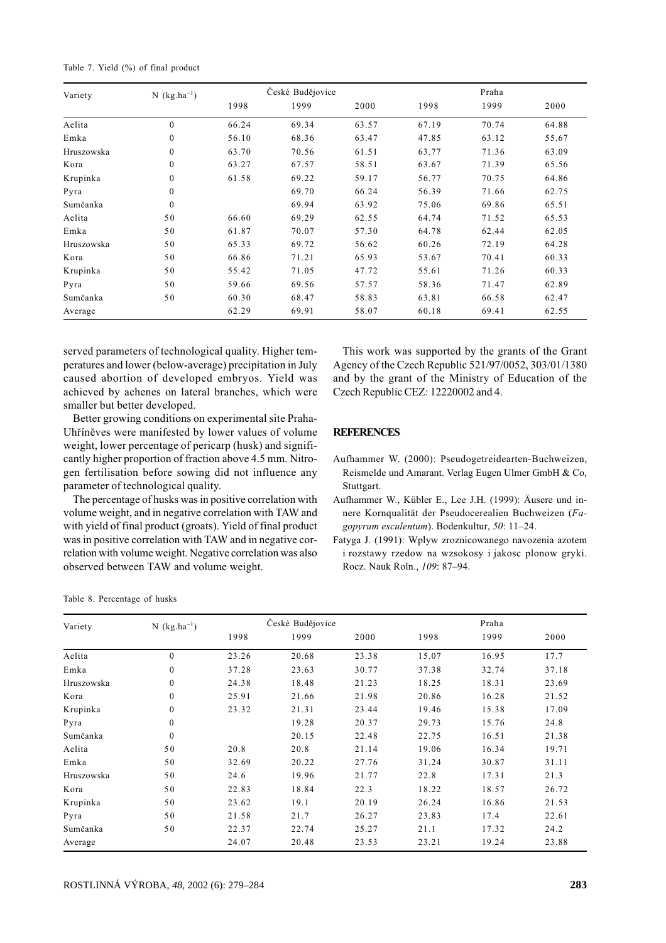| Table 7. Yield (%) of final product |  |  |
|-------------------------------------|--|--|
|-------------------------------------|--|--|

| Variety    | $N$ (kg.ha <sup>-1</sup> ) |       | České Budějovice |       |       | Praha |       |
|------------|----------------------------|-------|------------------|-------|-------|-------|-------|
|            |                            | 1998  | 1999             | 2000  | 1998  | 1999  | 2000  |
| Aelita     | $\mathbf{0}$               | 66.24 | 69.34            | 63.57 | 67.19 | 70.74 | 64.88 |
| Emka       | $\mathbf{0}$               | 56.10 | 68.36            | 63.47 | 47.85 | 63.12 | 55.67 |
| Hruszowska | $\mathbf{0}$               | 63.70 | 70.56            | 61.51 | 63.77 | 71.36 | 63.09 |
| Kora       | $\mathbf{0}$               | 63.27 | 67.57            | 58.51 | 63.67 | 71.39 | 65.56 |
| Krupinka   | $\mathbf{0}$               | 61.58 | 69.22            | 59.17 | 56.77 | 70.75 | 64.86 |
| Pyra       | $\theta$                   |       | 69.70            | 66.24 | 56.39 | 71.66 | 62.75 |
| Sumčanka   | $\theta$                   |       | 69.94            | 63.92 | 75.06 | 69.86 | 65.51 |
| Aelita     | 50                         | 66.60 | 69.29            | 62.55 | 64.74 | 71.52 | 65.53 |
| Emka       | 50                         | 61.87 | 70.07            | 57.30 | 64.78 | 62.44 | 62.05 |
| Hruszowska | 50                         | 65.33 | 69.72            | 56.62 | 60.26 | 72.19 | 64.28 |
| Kora       | 50                         | 66.86 | 71.21            | 65.93 | 53.67 | 70.41 | 60.33 |
| Krupinka   | 50                         | 55.42 | 71.05            | 47.72 | 55.61 | 71.26 | 60.33 |
| Pyra       | 50                         | 59.66 | 69.56            | 57.57 | 58.36 | 71.47 | 62.89 |
| Sumčanka   | 50                         | 60.30 | 68.47            | 58.83 | 63.81 | 66.58 | 62.47 |
| Average    |                            | 62.29 | 69.91            | 58.07 | 60.18 | 69.41 | 62.55 |

served parameters of technological quality. Higher temperatures and lower (below-average) precipitation in July caused abortion of developed embryos. Yield was achieved by achenes on lateral branches, which were smaller but better developed.

Better growing conditions on experimental site Praha-Uhříněves were manifested by lower values of volume weight, lower percentage of pericarp (husk) and significantly higher proportion of fraction above 4.5 mm. Nitrogen fertilisation before sowing did not influence any parameter of technological quality.

The percentage of husks was in positive correlation with volume weight, and in negative correlation with TAW and with yield of final product (groats). Yield of final product was in positive correlation with TAW and in negative correlation with volume weight. Negative correlation was also observed between TAW and volume weight.

This work was supported by the grants of the Grant Agency of the Czech Republic 521/97/0052, 303/01/1380 and by the grant of the Ministry of Education of the Czech Republic CEZ: 12220002 and 4.

# **REFERENCES**

Aufhammer W. (2000): Pseudogetreidearten-Buchweizen, Reismelde und Amarant. Verlag Eugen Ulmer GmbH & Co, Stuttgart.

Aufhammer W., Kübler E., Lee J.H. (1999): Äusere und innere Kornqualität der Pseudocerealien Buchweizen (Fagopyrum esculentum). Bodenkultur, 50: 11-24.

Fatyga J. (1991): Wplyw zroznicowanego navozenia azotem i rozstawy rzedow na wzsokosy i jakosc plonow gryki. Rocz. Nauk Roln., 109: 87-94.

|  |  | Table 8. Percentage of husks |  |  |  |
|--|--|------------------------------|--|--|--|
|--|--|------------------------------|--|--|--|

| Variety    | $N$ (kg.ha <sup>-1</sup> ) |       | České Budějovice |       |       | Praha |       |
|------------|----------------------------|-------|------------------|-------|-------|-------|-------|
|            |                            | 1998  | 1999             | 2000  | 1998  | 1999  | 2000  |
| Aelita     | $\mathbf{0}$               | 23.26 | 20.68            | 23.38 | 15.07 | 16.95 | 17.7  |
| Emka       | $\mathbf{0}$               | 37.28 | 23.63            | 30.77 | 37.38 | 32.74 | 37.18 |
| Hruszowska | $\mathbf{0}$               | 24.38 | 18.48            | 21.23 | 18.25 | 18.31 | 23.69 |
| Kora       | $\mathbf{0}$               | 25.91 | 21.66            | 21.98 | 20.86 | 16.28 | 21.52 |
| Krupinka   | $\mathbf{0}$               | 23.32 | 21.31            | 23.44 | 19.46 | 15.38 | 17.09 |
| Pyra       | $\Omega$                   |       | 19.28            | 20.37 | 29.73 | 15.76 | 24.8  |
| Sumčanka   | $\theta$                   |       | 20.15            | 22.48 | 22.75 | 16.51 | 21.38 |
| Aelita     | 50                         | 20.8  | 20.8             | 21.14 | 19.06 | 16.34 | 19.71 |
| Emka       | 50                         | 32.69 | 20.22            | 27.76 | 31.24 | 30.87 | 31.11 |
| Hruszowska | 50                         | 24.6  | 19.96            | 21.77 | 22.8  | 17.31 | 21.3  |
| Kora       | 50                         | 22.83 | 18.84            | 22.3  | 18.22 | 18.57 | 26.72 |
| Krupinka   | 50                         | 23.62 | 19.1             | 20.19 | 26.24 | 16.86 | 21.53 |
| Pyra       | 50                         | 21.58 | 21.7             | 26.27 | 23.83 | 17.4  | 22.61 |
| Sumčanka   | 50                         | 22.37 | 22.74            | 25.27 | 21.1  | 17.32 | 24.2  |
| Average    |                            | 24.07 | 20.48            | 23.53 | 23.21 | 19.24 | 23.88 |